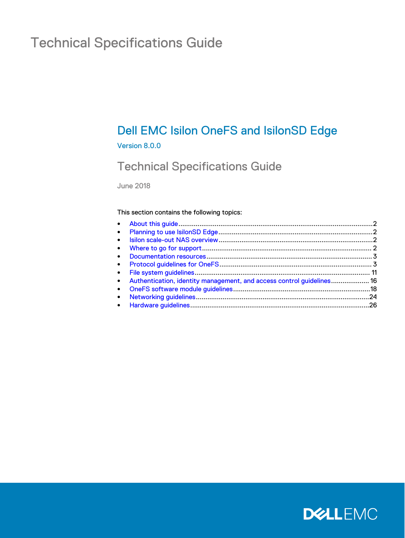# Technical Specifications Guide

## Dell EMC Isilon OneFS and IsilonSD Edge

#### Version 8.0.0

### Technical Specifications Guide

June 2018

#### This section contains the following topics:

| • Authentication, identity management, and access control guidelines 16 |  |
|-------------------------------------------------------------------------|--|
|                                                                         |  |
|                                                                         |  |
|                                                                         |  |
|                                                                         |  |

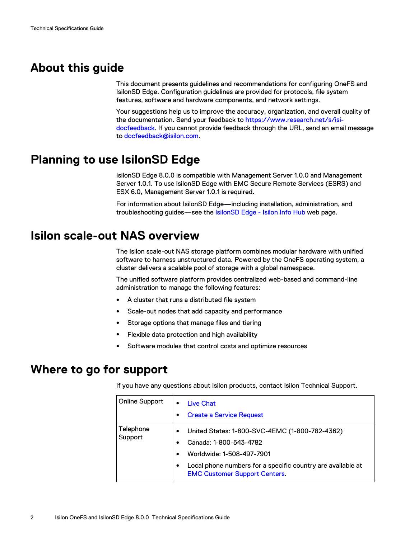### <span id="page-1-0"></span>**About this guide**

This document presents guidelines and recommendations for configuring OneFS and IsilonSD Edge. Configuration guidelines are provided for protocols, file system features, software and hardware components, and network settings.

Your suggestions help us to improve the accuracy, organization, and overall quality of the documentation. Send your feedback to [https://www.research.net/s/isi](https://www.research.net/s/isi-docfeedback)[docfeedback](https://www.research.net/s/isi-docfeedback). If you cannot provide feedback through the URL, send an email message to [docfeedback@isilon.com.](mailto:docfeedback@isilon.com)

### **Planning to use IsilonSD Edge**

IsilonSD Edge 8.0.0 is compatible with Management Server 1.0.0 and Management Server 1.0.1. To use IsilonSD Edge with EMC Secure Remote Services (ESRS) and ESX 6.0, Management Server 1.0.1 is required.

For information about IsilonSD Edge—including installation, administration, and troubleshooting guides—see the **IsilonSD Edge - Isilon Info Hub** web page.

### **Isilon scale-out NAS overview**

The Isilon scale-out NAS storage platform combines modular hardware with unified software to harness unstructured data. Powered by the OneFS operating system, a cluster delivers a scalable pool of storage with a global namespace.

The unified software platform provides centralized web-based and command-line administration to manage the following features:

- A cluster that runs a distributed file system
- Scale-out nodes that add capacity and performance
- Storage options that manage files and tiering
- **•** Flexible data protection and high availability
- Software modules that control costs and optimize resources

### **Where to go for support**

If you have any questions about Isilon products, contact Isilon Technical Support.

| <b>Online Support</b> | <b>Live Chat</b><br><b>Create a Service Request</b><br>$\bullet$                                                                                                                                                               |
|-----------------------|--------------------------------------------------------------------------------------------------------------------------------------------------------------------------------------------------------------------------------|
| Telephone<br>Support  | United States: 1-800-SVC-4EMC (1-800-782-4362)<br>Canada: 1-800-543-4782<br>Worldwide: 1-508-497-7901<br>$\bullet$<br>Local phone numbers for a specific country are available at<br>٠<br><b>EMC Customer Support Centers.</b> |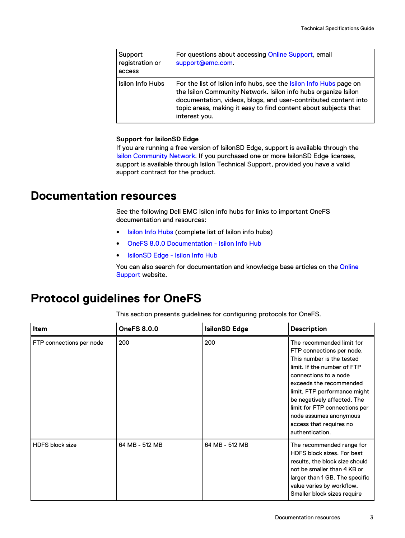<span id="page-2-0"></span>

| Support<br>registration or<br>access | For questions about accessing Online Support, email<br>support@emc.com.                                                                                                                                                                                                                            |
|--------------------------------------|----------------------------------------------------------------------------------------------------------------------------------------------------------------------------------------------------------------------------------------------------------------------------------------------------|
| Isilon Info Hubs                     | For the list of Isilon info hubs, see the <b>Isilon Info Hubs</b> page on<br>the Isilon Community Network. Isilon info hubs organize Isilon<br>documentation, videos, blogs, and user-contributed content into<br>topic areas, making it easy to find content about subjects that<br>interest you. |

#### **Support for IsilonSD Edge**

If you are running a free version of IsilonSD Edge, support is available through the [Isilon Community Network.](https://community.emc.com/community/products/isilon) If you purchased one or more IsilonSD Edge licenses, support is available through Isilon Technical Support, provided you have a valid support contract for the product.

### **Documentation resources**

See the following Dell EMC Isilon info hubs for links to important OneFS documentation and resources:

- **.** [Isilon Info Hubs](https://community.emc.com/docs/DOC-44304) (complete list of Isilon info hubs)
- [OneFS 8.0.0 Documentation Isilon Info Hub](https://community.emc.com/docs/DOC-51646)
- [IsilonSD Edge Isilon Info Hub](https://community.emc.com/docs/DOC-49267)

You can also search for documentation and knowledge base articles on the [Online](https://support.emc.com) [Support](https://support.emc.com) website.

### **Protocol guidelines for OneFS**

This section presents guidelines for configuring protocols for OneFS.

| Item                     | <b>OneFS 8.0.0</b> | <b>IsilonSD Edge</b> | <b>Description</b>                                                                                                                                                                                                                                                                                                                             |
|--------------------------|--------------------|----------------------|------------------------------------------------------------------------------------------------------------------------------------------------------------------------------------------------------------------------------------------------------------------------------------------------------------------------------------------------|
| FTP connections per node | 200                | 200                  | The recommended limit for<br>FTP connections per node.<br>This number is the tested<br>limit. If the number of FTP<br>connections to a node<br>exceeds the recommended<br>limit, FTP performance might<br>be negatively affected. The<br>limit for FTP connections per<br>node assumes anonymous<br>access that requires no<br>authentication. |
| <b>HDFS block size</b>   | 64 MB - 512 MB     | 64 MB - 512 MB       | The recommended range for<br>HDFS block sizes. For best<br>results, the block size should<br>not be smaller than 4 KB or<br>larger than 1 GB. The specific<br>value varies by workflow.<br>Smaller block sizes require                                                                                                                         |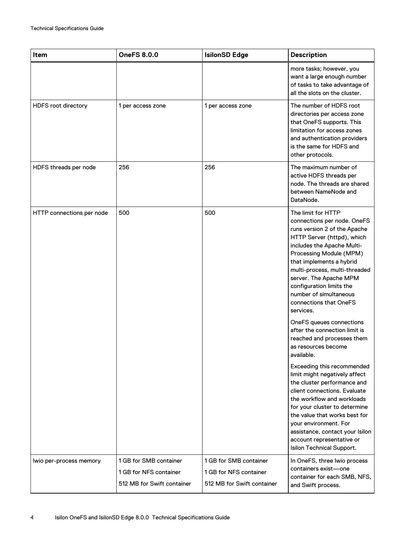| Item                       | <b>OneFS 8.0.0</b>                                                             | <b>IsilonSD Edge</b>                                                           | <b>Description</b>                                                                                                                                                                                                                                                                                                                                                                                                                                                                           |
|----------------------------|--------------------------------------------------------------------------------|--------------------------------------------------------------------------------|----------------------------------------------------------------------------------------------------------------------------------------------------------------------------------------------------------------------------------------------------------------------------------------------------------------------------------------------------------------------------------------------------------------------------------------------------------------------------------------------|
|                            |                                                                                |                                                                                | more tasks; however, you<br>want a large enough number<br>of tasks to take advantage of<br>all the slots on the cluster.                                                                                                                                                                                                                                                                                                                                                                     |
| <b>HDFS root directory</b> | 1 per access zone                                                              | 1 per access zone                                                              | The number of HDFS root<br>directories per access zone<br>that OneFS supports. This<br>limitation for access zones<br>and authentication providers<br>is the same for HDFS and<br>other protocols.                                                                                                                                                                                                                                                                                           |
| HDFS threads per node      | 256                                                                            | 256                                                                            | The maximum number of<br>active HDFS threads per<br>node. The threads are shared<br>between NameNode and<br>DataNode.                                                                                                                                                                                                                                                                                                                                                                        |
| HTTP connections per node  | 500                                                                            | 500                                                                            | The limit for HTTP<br>connections per node. OneFS<br>runs version 2 of the Apache<br>HTTP Server (httpd), which<br>includes the Apache Multi-<br>Processing Module (MPM)<br>that implements a hybrid<br>multi-process, multi-threaded<br>server. The Apache MPM<br>configuration limits the<br>number of simultaneous<br>connections that OneFS<br>services.<br>OneFS queues connections<br>after the connection limit is<br>reached and processes them<br>as resources become<br>available. |
|                            |                                                                                |                                                                                | Exceeding this recommended<br>limit might negatively affect<br>the cluster performance and<br>client connections. Evaluate<br>the workflow and workloads<br>for your cluster to determine<br>the value that works best for<br>your environment. For<br>assistance, contact your Isilon<br>account representative or<br>Isilon Technical Support.                                                                                                                                             |
| Iwio per-process memory    | 1 GB for SMB container<br>1 GB for NFS container<br>512 MB for Swift container | 1 GB for SMB container<br>1 GB for NFS container<br>512 MB for Swift container | In OneFS, three Iwio process<br>containers exist-one<br>container for each SMB, NFS,<br>and Swift process.                                                                                                                                                                                                                                                                                                                                                                                   |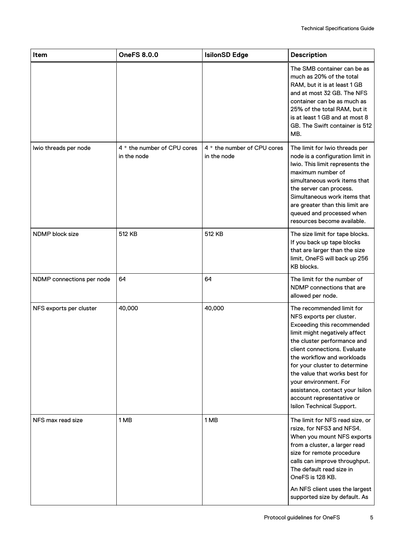| Item                      | <b>OneFS 8.0.0</b>                         | <b>IsilonSD Edge</b>                       | <b>Description</b>                                                                                                                                                                                                                                                                                                                                                                                        |
|---------------------------|--------------------------------------------|--------------------------------------------|-----------------------------------------------------------------------------------------------------------------------------------------------------------------------------------------------------------------------------------------------------------------------------------------------------------------------------------------------------------------------------------------------------------|
|                           |                                            |                                            | The SMB container can be as<br>much as 20% of the total<br>RAM, but it is at least 1 GB<br>and at most 32 GB. The NFS<br>container can be as much as<br>25% of the total RAM, but it<br>is at least 1 GB and at most 8<br>GB. The Swift container is 512<br>MB.                                                                                                                                           |
| Iwio threads per node     | 4 * the number of CPU cores<br>in the node | 4 * the number of CPU cores<br>in the node | The limit for Iwio threads per<br>node is a configuration limit in<br>Iwio. This limit represents the<br>maximum number of<br>simultaneous work items that<br>the server can process.<br>Simultaneous work items that<br>are greater than this limit are<br>queued and processed when<br>resources become available.                                                                                      |
| NDMP block size           | 512 KB                                     | 512 KB                                     | The size limit for tape blocks.<br>If you back up tape blocks<br>that are larger than the size<br>limit, OneFS will back up 256<br>KB blocks.                                                                                                                                                                                                                                                             |
| NDMP connections per node | 64                                         | 64                                         | The limit for the number of<br>NDMP connections that are<br>allowed per node.                                                                                                                                                                                                                                                                                                                             |
| NFS exports per cluster   | 40,000                                     | 40,000                                     | The recommended limit for<br>NFS exports per cluster.<br>Exceeding this recommended<br>limit might negatively affect<br>the cluster performance and<br>client connections. Evaluate<br>the workflow and workloads<br>for your cluster to determine<br>the value that works best for<br>your environment. For<br>assistance, contact your Isilon<br>account representative or<br>Isilon Technical Support. |
| NFS max read size         | 1 MB                                       | 1 MB                                       | The limit for NFS read size, or<br>rsize, for NFS3 and NFS4.<br>When you mount NFS exports<br>from a cluster, a larger read<br>size for remote procedure<br>calls can improve throughput.<br>The default read size in<br>OneFS is 128 KB.<br>An NFS client uses the largest<br>supported size by default. As                                                                                              |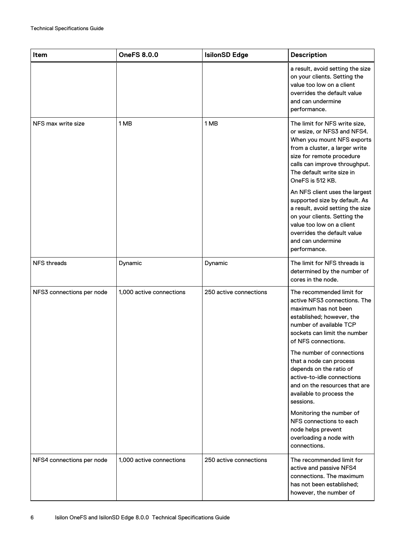| Item                      | <b>OneFS 8.0.0</b>       | <b>IsilonSD Edge</b>   | <b>Description</b>                                                                                                                                                                                                                          |
|---------------------------|--------------------------|------------------------|---------------------------------------------------------------------------------------------------------------------------------------------------------------------------------------------------------------------------------------------|
|                           |                          |                        | a result, avoid setting the size<br>on your clients. Setting the<br>value too low on a client<br>overrides the default value<br>and can undermine<br>performance.                                                                           |
| NFS max write size        | 1 MB                     | 1 MB                   | The limit for NFS write size,<br>or wsize, or NFS3 and NFS4.<br>When you mount NFS exports<br>from a cluster, a larger write<br>size for remote procedure<br>calls can improve throughput.<br>The default write size in<br>OneFS is 512 KB. |
|                           |                          |                        | An NFS client uses the largest<br>supported size by default. As<br>a result, avoid setting the size<br>on your clients. Setting the<br>value too low on a client<br>overrides the default value<br>and can undermine<br>performance.        |
| <b>NFS threads</b>        | Dynamic                  | Dynamic                | The limit for NFS threads is<br>determined by the number of<br>cores in the node.                                                                                                                                                           |
| NFS3 connections per node | 1,000 active connections | 250 active connections | The recommended limit for<br>active NFS3 connections. The<br>maximum has not been<br>established; however, the<br>number of available TCP<br>sockets can limit the number<br>of NFS connections.                                            |
|                           |                          |                        | The number of connections<br>that a node can process<br>depends on the ratio of<br>active-to-idle connections<br>and on the resources that are<br>available to process the<br>sessions.                                                     |
|                           |                          |                        | Monitoring the number of<br>NFS connections to each<br>node helps prevent<br>overloading a node with<br>connections.                                                                                                                        |
| NFS4 connections per node | 1,000 active connections | 250 active connections | The recommended limit for<br>active and passive NFS4<br>connections. The maximum<br>has not been established;<br>however, the number of                                                                                                     |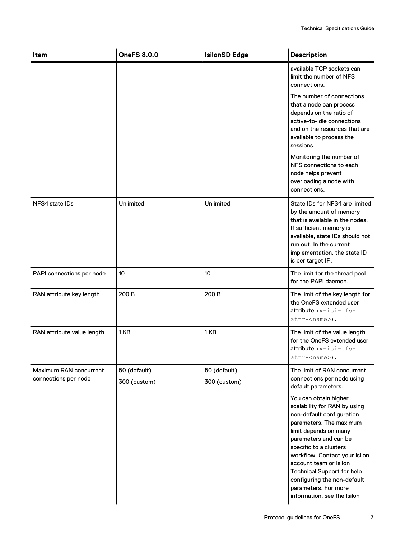| Item                                           | <b>OneFS 8.0.0</b>           | <b>IsilonSD Edge</b>         | <b>Description</b>                                                                                                                                                                                                                                                                                                                                                              |
|------------------------------------------------|------------------------------|------------------------------|---------------------------------------------------------------------------------------------------------------------------------------------------------------------------------------------------------------------------------------------------------------------------------------------------------------------------------------------------------------------------------|
|                                                |                              |                              | available TCP sockets can<br>limit the number of NFS<br>connections.                                                                                                                                                                                                                                                                                                            |
|                                                |                              |                              | The number of connections<br>that a node can process<br>depends on the ratio of<br>active-to-idle connections<br>and on the resources that are<br>available to process the<br>sessions.                                                                                                                                                                                         |
|                                                |                              |                              | Monitoring the number of<br>NFS connections to each<br>node helps prevent<br>overloading a node with<br>connections.                                                                                                                                                                                                                                                            |
| NFS4 state IDs                                 | <b>Unlimited</b>             | Unlimited                    | State IDs for NFS4 are limited<br>by the amount of memory<br>that is available in the nodes.<br>If sufficient memory is<br>available, state IDs should not<br>run out. In the current<br>implementation, the state ID<br>is per target IP.                                                                                                                                      |
| PAPI connections per node                      | 10                           | 10                           | The limit for the thread pool<br>for the PAPI daemon.                                                                                                                                                                                                                                                                                                                           |
| RAN attribute key length                       | 200 B                        | 200 B                        | The limit of the key length for<br>the OneFS extended user<br>$attribute$ ( $x - is i - if s -$<br>attr- <name>).</name>                                                                                                                                                                                                                                                        |
| RAN attribute value length                     | 1KB                          | 1 <sub>KB</sub>              | The limit of the value length<br>for the OneFS extended user<br>$attribute$ ( $x - is i - if s -$<br>attr- <name>).</name>                                                                                                                                                                                                                                                      |
| Maximum RAN concurrent<br>connections per node | 50 (default)<br>300 (custom) | 50 (default)<br>300 (custom) | The limit of RAN concurrent<br>connections per node using<br>default parameters.                                                                                                                                                                                                                                                                                                |
|                                                |                              |                              | You can obtain higher<br>scalability for RAN by using<br>non-default configuration<br>parameters. The maximum<br>limit depends on many<br>parameters and can be<br>specific to a clusters<br>workflow. Contact your Isilon<br>account team or Isilon<br><b>Technical Support for help</b><br>configuring the non-default<br>parameters. For more<br>information, see the Isilon |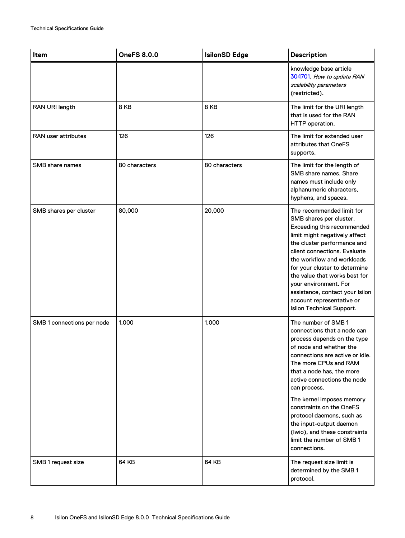| Item                       | <b>OneFS 8.0.0</b> | <b>IsilonSD Edge</b> | <b>Description</b>                                                                                                                                                                                                                                                                                                                                                                                                                                  |
|----------------------------|--------------------|----------------------|-----------------------------------------------------------------------------------------------------------------------------------------------------------------------------------------------------------------------------------------------------------------------------------------------------------------------------------------------------------------------------------------------------------------------------------------------------|
|                            |                    |                      | knowledge base article<br>304701, How to update RAN<br>scalability parameters<br>(restricted).                                                                                                                                                                                                                                                                                                                                                      |
| RAN URI length             | 8 KB               | 8 KB                 | The limit for the URI length<br>that is used for the RAN<br>HTTP operation.                                                                                                                                                                                                                                                                                                                                                                         |
| RAN user attributes        | 126                | 126                  | The limit for extended user<br>attributes that OneFS<br>supports.                                                                                                                                                                                                                                                                                                                                                                                   |
| SMB share names            | 80 characters      | 80 characters        | The limit for the length of<br>SMB share names. Share<br>names must include only<br>alphanumeric characters,<br>hyphens, and spaces.                                                                                                                                                                                                                                                                                                                |
| SMB shares per cluster     | 80,000             | 20,000               | The recommended limit for<br>SMB shares per cluster.<br>Exceeding this recommended<br>limit might negatively affect<br>the cluster performance and<br>client connections. Evaluate<br>the workflow and workloads<br>for your cluster to determine<br>the value that works best for<br>your environment. For<br>assistance, contact your Isilon<br>account representative or<br>Isilon Technical Support.                                            |
| SMB 1 connections per node | 1,000              | 1,000                | The number of SMB 1<br>connections that a node can<br>process depends on the type<br>of node and whether the<br>connections are active or idle.<br>The more CPUs and RAM<br>that a node has, the more<br>active connections the node<br>can process.<br>The kernel imposes memory<br>constraints on the OneFS<br>protocol daemons, such as<br>the input-output daemon<br>(Iwio), and these constraints<br>limit the number of SMB 1<br>connections. |
| SMB 1 request size         | 64 KB              | 64 KB                | The request size limit is<br>determined by the SMB 1<br>protocol.                                                                                                                                                                                                                                                                                                                                                                                   |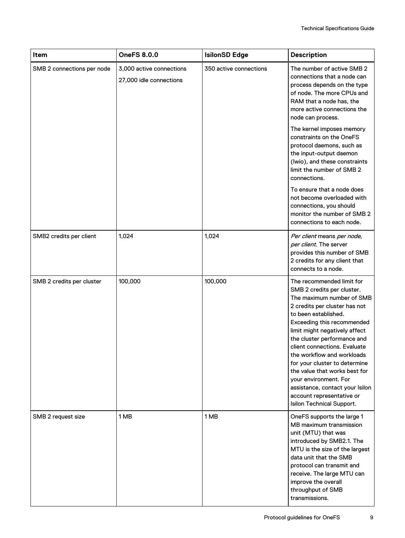| Item                       | <b>OneFS 8.0.0</b>                                  | <b>IsilonSD Edge</b>   | <b>Description</b>                                                                                                                                                                                                                                                                                                                                                                                                                                                                                |
|----------------------------|-----------------------------------------------------|------------------------|---------------------------------------------------------------------------------------------------------------------------------------------------------------------------------------------------------------------------------------------------------------------------------------------------------------------------------------------------------------------------------------------------------------------------------------------------------------------------------------------------|
| SMB 2 connections per node | 3,000 active connections<br>27,000 idle connections | 350 active connections | The number of active SMB 2<br>connections that a node can<br>process depends on the type<br>of node. The more CPUs and<br>RAM that a node has, the<br>more active connections the<br>node can process.                                                                                                                                                                                                                                                                                            |
|                            |                                                     |                        | The kernel imposes memory<br>constraints on the OneFS<br>protocol daemons, such as<br>the input-output daemon<br>(Iwio), and these constraints<br>limit the number of SMB 2<br>connections.                                                                                                                                                                                                                                                                                                       |
|                            |                                                     |                        | To ensure that a node does<br>not become overloaded with<br>connections, you should<br>monitor the number of SMB 2<br>connections to each node.                                                                                                                                                                                                                                                                                                                                                   |
| SMB2 credits per client    | 1,024                                               | 1,024                  | Per client means per node,<br>per client. The server<br>provides this number of SMB<br>2 credits for any client that<br>connects to a node.                                                                                                                                                                                                                                                                                                                                                       |
| SMB 2 credits per cluster  | 100,000                                             | 100,000                | The recommended limit for<br>SMB 2 credits per cluster.<br>The maximum number of SMB<br>2 credits per cluster has not<br>to been established.<br>Exceeding this recommended<br>limit might negatively affect<br>the cluster performance and<br>client connections. Evaluate<br>the workflow and workloads<br>for your cluster to determine<br>the value that works best for<br>your environment. For<br>assistance, contact your Isilon<br>account representative or<br>Isilon Technical Support. |
| SMB 2 request size         | 1 MB                                                | 1 MB                   | OneFS supports the large 1<br>MB maximum transmission<br>unit (MTU) that was<br>introduced by SMB2.1. The<br>MTU is the size of the largest<br>data unit that the SMB<br>protocol can transmit and<br>receive. The large MTU can<br>improve the overall<br>throughput of SMB<br>transmissions.                                                                                                                                                                                                    |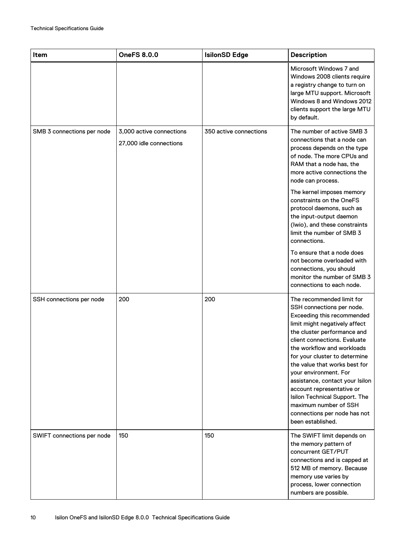| Item                       | <b>OneFS 8.0.0</b>                                  | <b>IsilonSD Edge</b>   | <b>Description</b>                                                                                                                                                                                                                                                                                                                                                                                                                                                                           |
|----------------------------|-----------------------------------------------------|------------------------|----------------------------------------------------------------------------------------------------------------------------------------------------------------------------------------------------------------------------------------------------------------------------------------------------------------------------------------------------------------------------------------------------------------------------------------------------------------------------------------------|
|                            |                                                     |                        | Microsoft Windows 7 and<br>Windows 2008 clients require<br>a registry change to turn on<br>large MTU support. Microsoft<br>Windows 8 and Windows 2012<br>clients support the large MTU<br>by default.                                                                                                                                                                                                                                                                                        |
| SMB 3 connections per node | 3,000 active connections<br>27,000 idle connections | 350 active connections | The number of active SMB 3<br>connections that a node can<br>process depends on the type<br>of node. The more CPUs and<br>RAM that a node has, the<br>more active connections the<br>node can process.                                                                                                                                                                                                                                                                                       |
|                            |                                                     |                        | The kernel imposes memory<br>constraints on the OneFS<br>protocol daemons, such as<br>the input-output daemon<br>(Iwio), and these constraints<br>limit the number of SMB 3<br>connections.                                                                                                                                                                                                                                                                                                  |
|                            |                                                     |                        | To ensure that a node does<br>not become overloaded with<br>connections, you should<br>monitor the number of SMB 3<br>connections to each node.                                                                                                                                                                                                                                                                                                                                              |
| SSH connections per node   | 200                                                 | 200                    | The recommended limit for<br>SSH connections per node.<br>Exceeding this recommended<br>limit might negatively affect<br>the cluster performance and<br>client connections. Evaluate<br>the workflow and workloads<br>for your cluster to determine<br>the value that works best for<br>vour environment. For<br>assistance, contact your Isilon<br>account representative or<br>Isilon Technical Support. The<br>maximum number of SSH<br>connections per node has not<br>been established. |
| SWIFT connections per node | 150                                                 | 150                    | The SWIFT limit depends on<br>the memory pattern of<br>concurrent GET/PUT<br>connections and is capped at<br>512 MB of memory. Because<br>memory use varies by<br>process, lower connection<br>numbers are possible.                                                                                                                                                                                                                                                                         |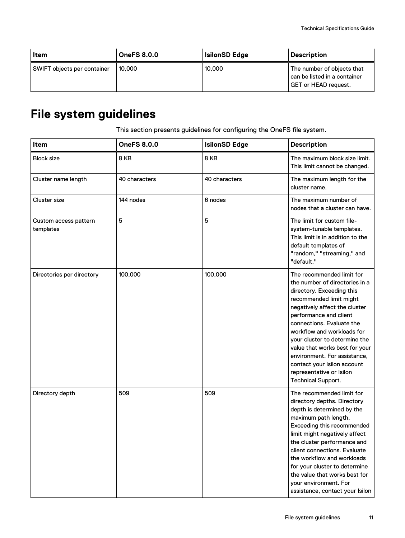<span id="page-10-0"></span>

| <b>Item</b>                 | <b>OneFS 8.0.0</b> | <b>IsilonSD Edge</b> | <b>Description</b>                                                                        |
|-----------------------------|--------------------|----------------------|-------------------------------------------------------------------------------------------|
| SWIFT objects per container | 10.000             | 10,000               | The number of objects that<br>can be listed in a container<br><b>GET or HEAD request.</b> |

# **File system guidelines**

This section presents guidelines for configuring the OneFS file system.

| Item                               | <b>OneFS 8.0.0</b> | <b>IsilonSD Edge</b> | <b>Description</b>                                                                                                                                                                                                                                                                                                                                                                                                                   |
|------------------------------------|--------------------|----------------------|--------------------------------------------------------------------------------------------------------------------------------------------------------------------------------------------------------------------------------------------------------------------------------------------------------------------------------------------------------------------------------------------------------------------------------------|
| <b>Block size</b>                  | 8 KB               | 8KB                  | The maximum block size limit.<br>This limit cannot be changed.                                                                                                                                                                                                                                                                                                                                                                       |
| Cluster name length                | 40 characters      | 40 characters        | The maximum length for the<br>cluster name.                                                                                                                                                                                                                                                                                                                                                                                          |
| <b>Cluster size</b>                | 144 nodes          | 6 nodes              | The maximum number of<br>nodes that a cluster can have.                                                                                                                                                                                                                                                                                                                                                                              |
| Custom access pattern<br>templates | 5                  | 5                    | The limit for custom file-<br>system-tunable templates.<br>This limit is in addition to the<br>default templates of<br>"random," "streaming," and<br>"default."                                                                                                                                                                                                                                                                      |
| Directories per directory          | 100,000            | 100,000              | The recommended limit for<br>the number of directories in a<br>directory. Exceeding this<br>recommended limit might<br>negatively affect the cluster<br>performance and client<br>connections. Evaluate the<br>workflow and workloads for<br>your cluster to determine the<br>value that works best for your<br>environment. For assistance,<br>contact your Isilon account<br>representative or Isilon<br><b>Technical Support.</b> |
| Directory depth                    | 509                | 509                  | The recommended limit for<br>directory depths. Directory<br>depth is determined by the<br>maximum path length.<br>Exceeding this recommended<br>limit might negatively affect<br>the cluster performance and<br>client connections. Evaluate<br>the workflow and workloads<br>for your cluster to determine<br>the value that works best for<br>your environment. For<br>assistance, contact your Isilon                             |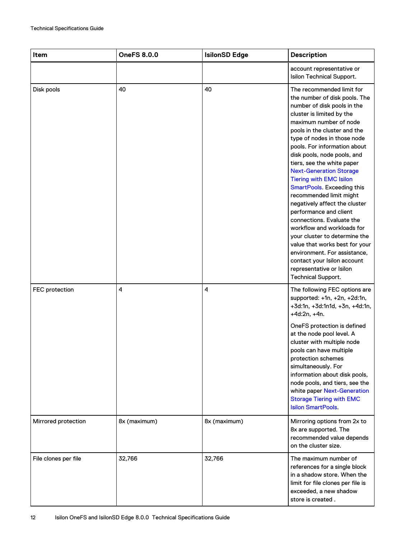| <b>Item</b>          | <b>OneFS 8.0.0</b> | <b>IsilonSD Edge</b> | <b>Description</b>                                                                                                                                                                                                                                                                                                                                                                                                                                                                                                                                                                                                                                                                                                                                         |
|----------------------|--------------------|----------------------|------------------------------------------------------------------------------------------------------------------------------------------------------------------------------------------------------------------------------------------------------------------------------------------------------------------------------------------------------------------------------------------------------------------------------------------------------------------------------------------------------------------------------------------------------------------------------------------------------------------------------------------------------------------------------------------------------------------------------------------------------------|
|                      |                    |                      | account representative or<br>Isilon Technical Support.                                                                                                                                                                                                                                                                                                                                                                                                                                                                                                                                                                                                                                                                                                     |
| Disk pools           | 40                 | 40                   | The recommended limit for<br>the number of disk pools. The<br>number of disk pools in the<br>cluster is limited by the<br>maximum number of node<br>pools in the cluster and the<br>type of nodes in those node<br>pools. For information about<br>disk pools, node pools, and<br>tiers, see the white paper<br><b>Next-Generation Storage</b><br><b>Tiering with EMC Isilon</b><br>SmartPools. Exceeding this<br>recommended limit might<br>negatively affect the cluster<br>performance and client<br>connections. Evaluate the<br>workflow and workloads for<br>your cluster to determine the<br>value that works best for your<br>environment. For assistance,<br>contact your Isilon account<br>representative or Isilon<br><b>Technical Support.</b> |
| FEC protection       | 4                  | 4                    | The following FEC options are<br>supported: +1n, +2n, +2d:1n,<br>+3d:1n, +3d:1n1d, +3n, +4d:1n,<br>$+4d:2n, +4n.$                                                                                                                                                                                                                                                                                                                                                                                                                                                                                                                                                                                                                                          |
|                      |                    |                      | OneFS protection is defined<br>at the node pool level. A<br>cluster with multiple node<br>pools can have multiple<br>protection schemes<br>simultaneously. For<br>information about disk pools,<br>node pools, and tiers, see the<br>white paper Next-Generation<br><b>Storage Tiering with EMC</b><br><b>Isilon SmartPools.</b>                                                                                                                                                                                                                                                                                                                                                                                                                           |
| Mirrored protection  | 8x (maximum)       | 8x (maximum)         | Mirroring options from 2x to<br>8x are supported. The<br>recommended value depends<br>on the cluster size.                                                                                                                                                                                                                                                                                                                                                                                                                                                                                                                                                                                                                                                 |
| File clones per file | 32,766             | 32,766               | The maximum number of<br>references for a single block<br>in a shadow store. When the<br>limit for file clones per file is<br>exceeded, a new shadow<br>store is created.                                                                                                                                                                                                                                                                                                                                                                                                                                                                                                                                                                                  |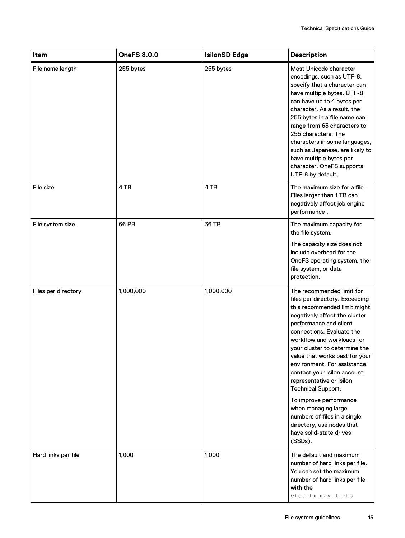| Item                | <b>OneFS 8.0.0</b> | <b>IsilonSD Edge</b> | <b>Description</b>                                                                                                                                                                                                                                                                                                                                                                                                    |
|---------------------|--------------------|----------------------|-----------------------------------------------------------------------------------------------------------------------------------------------------------------------------------------------------------------------------------------------------------------------------------------------------------------------------------------------------------------------------------------------------------------------|
| File name length    | 255 bytes          | 255 bytes            | Most Unicode character<br>encodings, such as UTF-8,<br>specify that a character can<br>have multiple bytes. UTF-8<br>can have up to 4 bytes per<br>character. As a result, the<br>255 bytes in a file name can<br>range from 63 characters to<br>255 characters. The<br>characters in some languages,<br>such as Japanese, are likely to<br>have multiple bytes per<br>character. OneFS supports<br>UTF-8 by default, |
| File size           | 4 TB               | 4 TB                 | The maximum size for a file.<br>Files larger than 1 TB can<br>negatively affect job engine<br>performance.                                                                                                                                                                                                                                                                                                            |
| File system size    | 66 PB              | 36 TB                | The maximum capacity for<br>the file system.<br>The capacity size does not<br>include overhead for the<br>OneFS operating system, the                                                                                                                                                                                                                                                                                 |
|                     |                    |                      | file system, or data<br>protection.                                                                                                                                                                                                                                                                                                                                                                                   |
| Files per directory | 1,000,000          | 1,000,000            | The recommended limit for<br>files per directory. Exceeding<br>this recommended limit might<br>negatively affect the cluster<br>performance and client<br>connections. Evaluate the<br>workflow and workloads for<br>your cluster to determine the<br>value that works best for your<br>environment. For assistance,<br>contact your Isilon account<br>representative or Isilon<br><b>Technical Support.</b>          |
|                     |                    |                      | To improve performance<br>when managing large<br>numbers of files in a single<br>directory, use nodes that<br>have solid-state drives<br>(SSDs).                                                                                                                                                                                                                                                                      |
| Hard links per file | 1,000              | 1,000                | The default and maximum<br>number of hard links per file.<br>You can set the maximum<br>number of hard links per file<br>with the<br>efs.ifm.max links                                                                                                                                                                                                                                                                |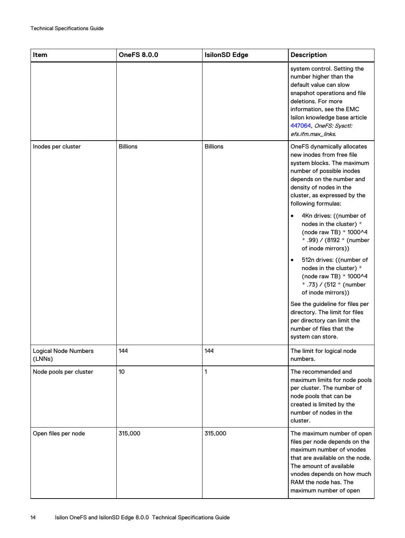| <b>Item</b>                           | <b>OneFS 8.0.0</b> | <b>IsilonSD Edge</b> | <b>Description</b>                                                                                                                                                                                                                                  |
|---------------------------------------|--------------------|----------------------|-----------------------------------------------------------------------------------------------------------------------------------------------------------------------------------------------------------------------------------------------------|
|                                       |                    |                      | system control. Setting the<br>number higher than the<br>default value can slow<br>snapshot operations and file<br>deletions. For more<br>information, see the EMC<br>Isilon knowledge base article<br>447064, OneFS: Sysctl:<br>efs.ifm.max_links. |
| Inodes per cluster                    | <b>Billions</b>    | <b>Billions</b>      | OneFS dynamically allocates<br>new inodes from free file<br>system blocks. The maximum<br>number of possible inodes<br>depends on the number and<br>density of nodes in the<br>cluster, as expressed by the<br>following formulas:                  |
|                                       |                    |                      | 4Kn drives: ((number of<br>$\bullet$<br>nodes in the cluster) *<br>(node raw TB) * 1000^4<br>* .99) / (8192 * (number<br>of inode mirrors))                                                                                                         |
|                                       |                    |                      | 512n drives: ((number of<br>$\bullet$<br>nodes in the cluster) *<br>(node raw TB) * 1000^4<br>* .73) / (512 * (number<br>of inode mirrors))                                                                                                         |
|                                       |                    |                      | See the guideline for files per<br>directory. The limit for files<br>per directory can limit the<br>number of files that the<br>system can store.                                                                                                   |
| <b>Logical Node Numbers</b><br>(LNNs) | 144                | 144                  | The limit for logical node<br>numbers.                                                                                                                                                                                                              |
| Node pools per cluster                | 10 <sup>°</sup>    | $\mathbf{1}$         | The recommended and<br>maximum limits for node pools<br>per cluster. The number of<br>node pools that can be<br>created is limited by the<br>number of nodes in the<br>cluster.                                                                     |
| Open files per node                   | 315,000            | 315,000              | The maximum number of open<br>files per node depends on the<br>maximum number of vnodes<br>that are available on the node.<br>The amount of available<br>vnodes depends on how much<br>RAM the node has. The<br>maximum number of open              |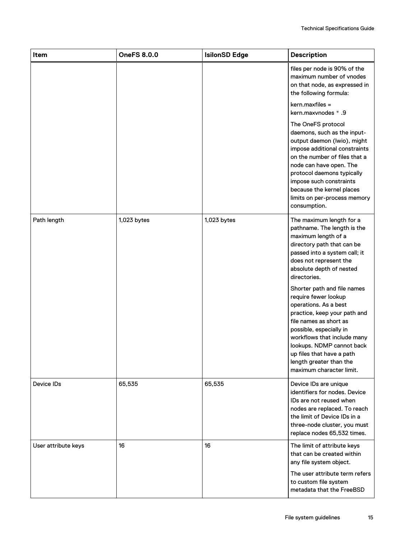| Item                | <b>OneFS 8.0.0</b> | <b>IsilonSD Edge</b> | <b>Description</b>                                                                                                                                                                                                                                                                                                                                                                                                                                                                                                                       |
|---------------------|--------------------|----------------------|------------------------------------------------------------------------------------------------------------------------------------------------------------------------------------------------------------------------------------------------------------------------------------------------------------------------------------------------------------------------------------------------------------------------------------------------------------------------------------------------------------------------------------------|
|                     |                    |                      | files per node is 90% of the<br>maximum number of vnodes<br>on that node, as expressed in<br>the following formula:                                                                                                                                                                                                                                                                                                                                                                                                                      |
|                     |                    |                      | $kern.maxfiles =$<br>kern.maxvnodes * .9                                                                                                                                                                                                                                                                                                                                                                                                                                                                                                 |
|                     |                    |                      | The OneFS protocol<br>daemons, such as the input-<br>output daemon (Iwio), might<br>impose additional constraints<br>on the number of files that a<br>node can have open. The<br>protocol daemons typically<br>impose such constraints<br>because the kernel places<br>limits on per-process memory<br>consumption.                                                                                                                                                                                                                      |
| Path length         | $1,023$ bytes      | 1,023 bytes          | The maximum length for a<br>pathname. The length is the<br>maximum length of a<br>directory path that can be<br>passed into a system call; it<br>does not represent the<br>absolute depth of nested<br>directories.<br>Shorter path and file names<br>require fewer lookup<br>operations. As a best<br>practice, keep your path and<br>file names as short as<br>possible, especially in<br>workflows that include many<br>lookups. NDMP cannot back<br>up files that have a path<br>length greater than the<br>maximum character limit. |
| Device IDs          | 65,535             | 65,535               | Device IDs are unique<br>identifiers for nodes. Device<br>IDs are not reused when<br>nodes are replaced. To reach<br>the limit of Device IDs in a<br>three-node cluster, you must<br>replace nodes 65,532 times.                                                                                                                                                                                                                                                                                                                         |
| User attribute keys | 16                 | 16                   | The limit of attribute keys<br>that can be created within<br>any file system object.<br>The user attribute term refers<br>to custom file system<br>metadata that the FreeBSD                                                                                                                                                                                                                                                                                                                                                             |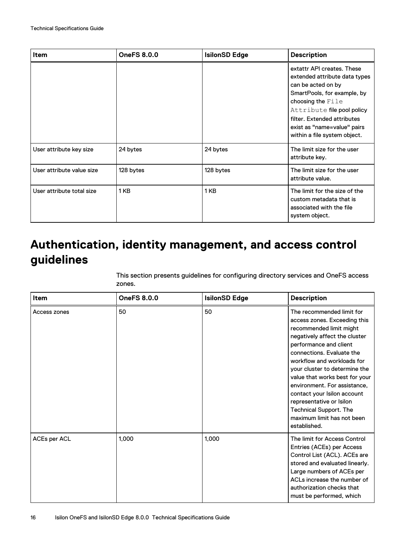<span id="page-15-0"></span>

| ltem                      | <b>OneFS 8.0.0</b> | <b>IsilonSD Edge</b> | <b>Description</b>                                                                                                                                                                                                                                                |
|---------------------------|--------------------|----------------------|-------------------------------------------------------------------------------------------------------------------------------------------------------------------------------------------------------------------------------------------------------------------|
|                           |                    |                      | extattr API creates. These<br>extended attribute data types<br>can be acted on by<br>SmartPools, for example, by<br>choosing the File<br>Attribute file pool policy<br>filter. Extended attributes<br>exist as "name=value" pairs<br>within a file system object. |
| User attribute key size   | 24 bytes           | 24 bytes             | The limit size for the user<br>attribute key.                                                                                                                                                                                                                     |
| User attribute value size | 128 bytes          | 128 bytes            | The limit size for the user<br>attribute value.                                                                                                                                                                                                                   |
| User attribute total size | 1KB                | 1 KB                 | The limit for the size of the<br>custom metadata that is<br>associated with the file<br>system object.                                                                                                                                                            |

# **Authentication, identity management, and access control guidelines**

This section presents guidelines for configuring directory services and OneFS access zones.

| <b>Item</b>  | <b>OneFS 8.0.0</b> | <b>IsilonSD Edge</b> | <b>Description</b>                                                                                                                                                                                                                                                                                                                                                                                                                                      |
|--------------|--------------------|----------------------|---------------------------------------------------------------------------------------------------------------------------------------------------------------------------------------------------------------------------------------------------------------------------------------------------------------------------------------------------------------------------------------------------------------------------------------------------------|
| Access zones | 50                 | 50                   | The recommended limit for<br>access zones. Exceeding this<br>recommended limit might<br>negatively affect the cluster<br>performance and client<br>connections. Evaluate the<br>workflow and workloads for<br>your cluster to determine the<br>value that works best for your<br>environment. For assistance,<br>contact your Isilon account<br>representative or Isilon<br><b>Technical Support. The</b><br>maximum limit has not been<br>established. |
| ACEs per ACL | 1,000              | 1.000                | The limit for Access Control<br>Entries (ACEs) per Access<br>Control List (ACL). ACEs are<br>stored and evaluated linearly.<br>Large numbers of ACEs per<br>ACLs increase the number of<br>authorization checks that<br>must be performed, which                                                                                                                                                                                                        |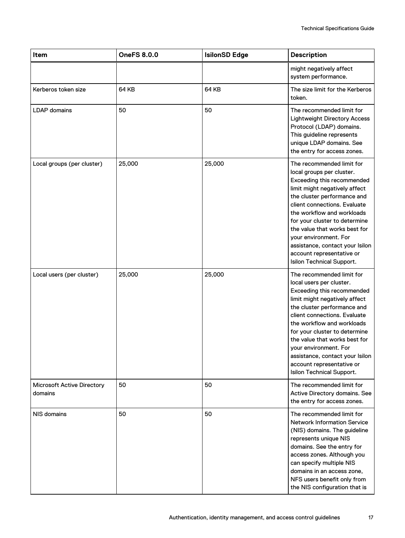| Item                                         | <b>OneFS 8.0.0</b> | <b>IsilonSD Edge</b> | <b>Description</b>                                                                                                                                                                                                                                                                                                                                                                                         |
|----------------------------------------------|--------------------|----------------------|------------------------------------------------------------------------------------------------------------------------------------------------------------------------------------------------------------------------------------------------------------------------------------------------------------------------------------------------------------------------------------------------------------|
|                                              |                    |                      | might negatively affect<br>system performance.                                                                                                                                                                                                                                                                                                                                                             |
| Kerberos token size                          | 64 KB              | <b>64 KB</b>         | The size limit for the Kerberos<br>token.                                                                                                                                                                                                                                                                                                                                                                  |
| <b>LDAP</b> domains                          | 50                 | 50                   | The recommended limit for<br><b>Lightweight Directory Access</b><br>Protocol (LDAP) domains.<br>This guideline represents<br>unique LDAP domains. See<br>the entry for access zones.                                                                                                                                                                                                                       |
| Local groups (per cluster)                   | 25,000             | 25,000               | The recommended limit for<br>local groups per cluster.<br>Exceeding this recommended<br>limit might negatively affect<br>the cluster performance and<br>client connections. Evaluate<br>the workflow and workloads<br>for your cluster to determine<br>the value that works best for<br>your environment. For<br>assistance, contact your Isilon<br>account representative or<br>Isilon Technical Support. |
| Local users (per cluster)                    | 25,000             | 25,000               | The recommended limit for<br>local users per cluster.<br>Exceeding this recommended<br>limit might negatively affect<br>the cluster performance and<br>client connections. Evaluate<br>the workflow and workloads<br>for your cluster to determine<br>the value that works best for<br>your environment. For<br>assistance, contact your Isilon<br>account representative or<br>Isilon Technical Support.  |
| <b>Microsoft Active Directory</b><br>domains | 50                 | 50                   | The recommended limit for<br>Active Directory domains. See<br>the entry for access zones.                                                                                                                                                                                                                                                                                                                  |
| NIS domains                                  | 50                 | 50                   | The recommended limit for<br><b>Network Information Service</b><br>(NIS) domains. The guideline<br>represents unique NIS<br>domains. See the entry for<br>access zones. Although you<br>can specify multiple NIS<br>domains in an access zone,<br>NFS users benefit only from<br>the NIS configuration that is                                                                                             |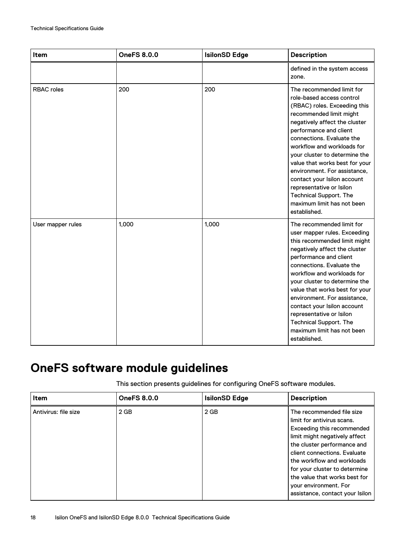<span id="page-17-0"></span>

| Item              | <b>OneFS 8.0.0</b> | <b>IsilonSD Edge</b> | <b>Description</b>                                                                                                                                                                                                                                                                                                                                                                                                                                                                   |
|-------------------|--------------------|----------------------|--------------------------------------------------------------------------------------------------------------------------------------------------------------------------------------------------------------------------------------------------------------------------------------------------------------------------------------------------------------------------------------------------------------------------------------------------------------------------------------|
|                   |                    |                      | defined in the system access<br>zone.                                                                                                                                                                                                                                                                                                                                                                                                                                                |
| <b>RBAC</b> roles | 200                | 200                  | The recommended limit for<br>role-based access control<br>(RBAC) roles. Exceeding this<br>recommended limit might<br>negatively affect the cluster<br>performance and client<br>connections. Evaluate the<br>workflow and workloads for<br>your cluster to determine the<br>value that works best for your<br>environment. For assistance,<br>contact your Isilon account<br>representative or Isilon<br><b>Technical Support. The</b><br>maximum limit has not been<br>established. |
| User mapper rules | 1,000              | 1,000                | The recommended limit for<br>user mapper rules. Exceeding<br>this recommended limit might<br>negatively affect the cluster<br>performance and client<br>connections. Evaluate the<br>workflow and workloads for<br>your cluster to determine the<br>value that works best for your<br>environment. For assistance,<br>contact your Isilon account<br>representative or Isilon<br><b>Technical Support. The</b><br>maximum limit has not been<br>established.                         |

# **OneFS software module guidelines**

This section presents guidelines for configuring OneFS software modules.

| <b>Item</b>          | <b>OneFS 8.0.0</b> | <b>IsilonSD Edge</b> | <b>Description</b>                                                                                                                                                                                                                                                                                                                                |
|----------------------|--------------------|----------------------|---------------------------------------------------------------------------------------------------------------------------------------------------------------------------------------------------------------------------------------------------------------------------------------------------------------------------------------------------|
| Antivirus: file size | $2$ GB             | $2$ GB               | The recommended file size<br>limit for antivirus scans.<br>Exceeding this recommended<br>limit might negatively affect<br>the cluster performance and<br>client connections. Evaluate<br>the workflow and workloads<br>for your cluster to determine<br>the value that works best for<br>your environment. For<br>assistance, contact your Isilon |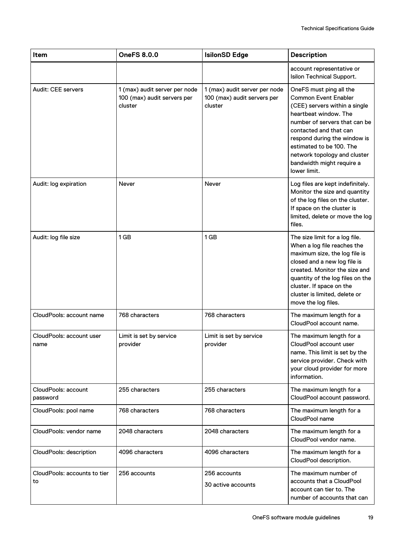| Item                               | <b>OneFS 8.0.0</b>                                                      | <b>IsilonSD Edge</b>                                                    | <b>Description</b>                                                                                                                                                                                                                                                                                                   |
|------------------------------------|-------------------------------------------------------------------------|-------------------------------------------------------------------------|----------------------------------------------------------------------------------------------------------------------------------------------------------------------------------------------------------------------------------------------------------------------------------------------------------------------|
|                                    |                                                                         |                                                                         | account representative or<br>Isilon Technical Support.                                                                                                                                                                                                                                                               |
| Audit: CEE servers                 | 1 (max) audit server per node<br>100 (max) audit servers per<br>cluster | 1 (max) audit server per node<br>100 (max) audit servers per<br>cluster | OneFS must ping all the<br><b>Common Event Enabler</b><br>(CEE) servers within a single<br>heartbeat window. The<br>number of servers that can be<br>contacted and that can<br>respond during the window is<br>estimated to be 100. The<br>network topology and cluster<br>bandwidth might require a<br>lower limit. |
| Audit: log expiration              | Never                                                                   | Never                                                                   | Log files are kept indefinitely.<br>Monitor the size and quantity<br>of the log files on the cluster.<br>If space on the cluster is<br>limited, delete or move the log<br>files.                                                                                                                                     |
| Audit: log file size               | 1 <sub>GB</sub>                                                         | 1 <sub>GB</sub>                                                         | The size limit for a log file.<br>When a log file reaches the<br>maximum size, the log file is<br>closed and a new log file is<br>created. Monitor the size and<br>quantity of the log files on the<br>cluster. If space on the<br>cluster is limited, delete or<br>move the log files.                              |
| CloudPools: account name           | 768 characters                                                          | 768 characters                                                          | The maximum length for a<br>CloudPool account name.                                                                                                                                                                                                                                                                  |
| CloudPools: account user<br>name   | Limit is set by service<br>provider                                     | Limit is set by service<br>provider                                     | The maximum length for a<br>CloudPool account user<br>name. This limit is set by the<br>service provider. Check with<br>your cloud provider for more<br>information.                                                                                                                                                 |
| CloudPools: account<br>password    | 255 characters                                                          | 255 characters                                                          | The maximum length for a<br>CloudPool account password.                                                                                                                                                                                                                                                              |
| CloudPools: pool name              | 768 characters                                                          | 768 characters                                                          | The maximum length for a<br>CloudPool name                                                                                                                                                                                                                                                                           |
| CloudPools: vendor name            | 2048 characters                                                         | 2048 characters                                                         | The maximum length for a<br>CloudPool vendor name.                                                                                                                                                                                                                                                                   |
| CloudPools: description            | 4096 characters                                                         | 4096 characters                                                         | The maximum length for a<br>CloudPool description.                                                                                                                                                                                                                                                                   |
| CloudPools: accounts to tier<br>to | 256 accounts                                                            | 256 accounts<br>30 active accounts                                      | The maximum number of<br>accounts that a CloudPool<br>account can tier to. The<br>number of accounts that can                                                                                                                                                                                                        |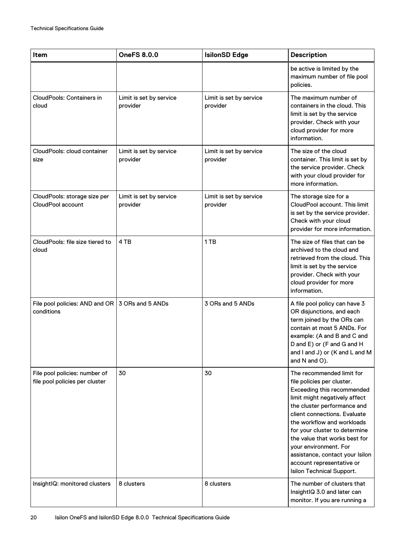| Item                                                            | <b>OneFS 8.0.0</b>                  | <b>IsilonSD Edge</b>                | <b>Description</b>                                                                                                                                                                                                                                                                                                                                                                                          |
|-----------------------------------------------------------------|-------------------------------------|-------------------------------------|-------------------------------------------------------------------------------------------------------------------------------------------------------------------------------------------------------------------------------------------------------------------------------------------------------------------------------------------------------------------------------------------------------------|
|                                                                 |                                     |                                     | be active is limited by the<br>maximum number of file pool<br>policies.                                                                                                                                                                                                                                                                                                                                     |
| <b>CloudPools: Containers in</b><br>cloud                       | Limit is set by service<br>provider | Limit is set by service<br>provider | The maximum number of<br>containers in the cloud. This<br>limit is set by the service<br>provider. Check with your<br>cloud provider for more<br>information.                                                                                                                                                                                                                                               |
| CloudPools: cloud container<br>size                             | Limit is set by service<br>provider | Limit is set by service<br>provider | The size of the cloud<br>container. This limit is set by<br>the service provider. Check<br>with your cloud provider for<br>more information.                                                                                                                                                                                                                                                                |
| CloudPools: storage size per<br>CloudPool account               | Limit is set by service<br>provider | Limit is set by service<br>provider | The storage size for a<br>CloudPool account. This limit<br>is set by the service provider.<br>Check with your cloud<br>provider for more information.                                                                                                                                                                                                                                                       |
| CloudPools: file size tiered to<br>cloud                        | 4 TB                                | 1 TB                                | The size of files that can be<br>archived to the cloud and<br>retrieved from the cloud. This<br>limit is set by the service<br>provider. Check with your<br>cloud provider for more<br>information.                                                                                                                                                                                                         |
| File pool policies: AND and OR<br>conditions                    | l 3 ORs and 5 ANDs                  | 3 ORs and 5 ANDs                    | A file pool policy can have 3<br>OR disjunctions, and each<br>term joined by the ORs can<br>contain at most 5 ANDs. For<br>example: (A and B and C and<br>D and E) or (F and G and H<br>and I and J) or (K and L and M<br>and N and O).                                                                                                                                                                     |
| File pool policies: number of<br>file pool policies per cluster | 30                                  | 30                                  | The recommended limit for<br>file policies per cluster.<br>Exceeding this recommended<br>limit might negatively affect<br>the cluster performance and<br>client connections. Evaluate<br>the workflow and workloads<br>for your cluster to determine<br>the value that works best for<br>your environment. For<br>assistance, contact your Isilon<br>account representative or<br>Isilon Technical Support. |
| InsightIQ: monitored clusters                                   | 8 clusters                          | 8 clusters                          | The number of clusters that<br>InsightIQ 3.0 and later can<br>monitor. If you are running a                                                                                                                                                                                                                                                                                                                 |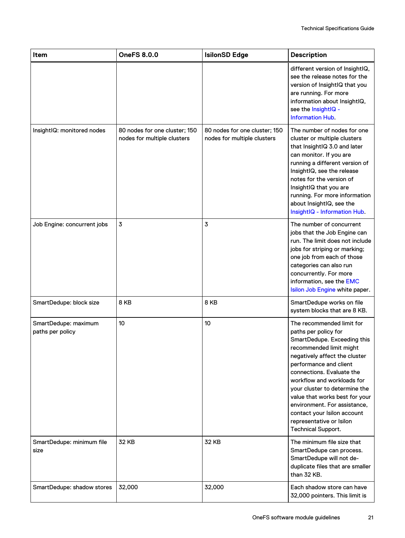| Item                                     | <b>OneFS 8.0.0</b>                                           | <b>IsilonSD Edge</b>                                         | <b>Description</b>                                                                                                                                                                                                                                                                                                                                                                                                           |
|------------------------------------------|--------------------------------------------------------------|--------------------------------------------------------------|------------------------------------------------------------------------------------------------------------------------------------------------------------------------------------------------------------------------------------------------------------------------------------------------------------------------------------------------------------------------------------------------------------------------------|
|                                          |                                                              |                                                              | different version of InsightIQ,<br>see the release notes for the<br>version of InsightIQ that you<br>are running. For more<br>information about InsightIQ,<br>see the InsightIQ -<br><b>Information Hub.</b>                                                                                                                                                                                                                 |
| InsightIQ: monitored nodes               | 80 nodes for one cluster; 150<br>nodes for multiple clusters | 80 nodes for one cluster; 150<br>nodes for multiple clusters | The number of nodes for one<br>cluster or multiple clusters<br>that InsightIQ 3.0 and later<br>can monitor. If you are<br>running a different version of<br>InsightIQ, see the release<br>notes for the version of<br>InsightIQ that you are<br>running. For more information<br>about InsightIQ, see the<br>InsightIQ - Information Hub.                                                                                    |
| Job Engine: concurrent jobs              | 3                                                            | 3                                                            | The number of concurrent<br>jobs that the Job Engine can<br>run. The limit does not include<br>jobs for striping or marking;<br>one job from each of those<br>categories can also run<br>concurrently. For more<br>information, see the EMC<br>Isilon Job Engine white paper.                                                                                                                                                |
| SmartDedupe: block size                  | 8 KB                                                         | 8 KB                                                         | SmartDedupe works on file<br>system blocks that are 8 KB.                                                                                                                                                                                                                                                                                                                                                                    |
| SmartDedupe: maximum<br>paths per policy | 10                                                           | 10                                                           | The recommended limit for<br>paths per policy for<br>SmartDedupe. Exceeding this<br>recommended limit might<br>negatively affect the cluster<br>performance and client<br>connections. Evaluate the<br>workflow and workloads for<br>your cluster to determine the<br>value that works best for your<br>environment. For assistance,<br>contact your Isilon account<br>representative or Isilon<br><b>Technical Support.</b> |
| SmartDedupe: minimum file<br>size        | 32 KB                                                        | 32 KB                                                        | The minimum file size that<br>SmartDedupe can process.<br>SmartDedupe will not de-<br>duplicate files that are smaller<br>than 32 KB.                                                                                                                                                                                                                                                                                        |
| SmartDedupe: shadow stores               | 32,000                                                       | 32,000                                                       | Each shadow store can have<br>32,000 pointers. This limit is                                                                                                                                                                                                                                                                                                                                                                 |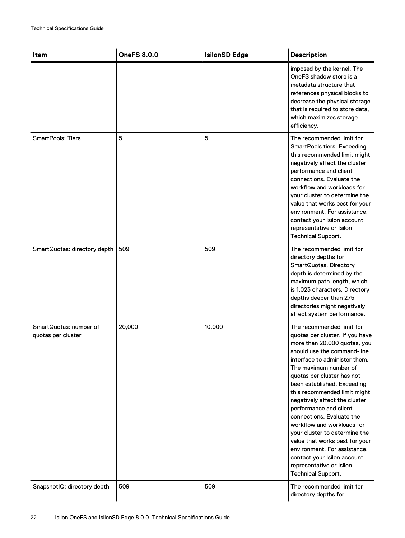| Item                                         | <b>OneFS 8.0.0</b> | <b>IsilonSD Edge</b> | <b>Description</b>                                                                                                                                                                                                                                                                                                                                                                                                                                                                                                                                                                                  |
|----------------------------------------------|--------------------|----------------------|-----------------------------------------------------------------------------------------------------------------------------------------------------------------------------------------------------------------------------------------------------------------------------------------------------------------------------------------------------------------------------------------------------------------------------------------------------------------------------------------------------------------------------------------------------------------------------------------------------|
|                                              |                    |                      | imposed by the kernel. The<br>OneFS shadow store is a<br>metadata structure that<br>references physical blocks to<br>decrease the physical storage<br>that is required to store data,<br>which maximizes storage<br>efficiency.                                                                                                                                                                                                                                                                                                                                                                     |
| <b>SmartPools: Tiers</b>                     | 5                  | 5                    | The recommended limit for<br>SmartPools tiers. Exceeding<br>this recommended limit might<br>negatively affect the cluster<br>performance and client<br>connections. Evaluate the<br>workflow and workloads for<br>your cluster to determine the<br>value that works best for your<br>environment. For assistance,<br>contact your Isilon account<br>representative or Isilon<br><b>Technical Support.</b>                                                                                                                                                                                           |
| SmartQuotas: directory depth                 | 509                | 509                  | The recommended limit for<br>directory depths for<br>SmartQuotas. Directory<br>depth is determined by the<br>maximum path length, which<br>is 1,023 characters. Directory<br>depths deeper than 275<br>directories might negatively<br>affect system performance.                                                                                                                                                                                                                                                                                                                                   |
| SmartQuotas: number of<br>quotas per cluster | 20,000             | 10,000               | The recommended limit for<br>quotas per cluster. If you have<br>more than 20,000 quotas, you<br>should use the command-line<br>interface to administer them.<br>The maximum number of<br>quotas per cluster has not<br>been established. Exceeding<br>this recommended limit might<br>negatively affect the cluster<br>performance and client<br>connections. Evaluate the<br>workflow and workloads for<br>your cluster to determine the<br>value that works best for your<br>environment. For assistance,<br>contact your Isilon account<br>representative or Isilon<br><b>Technical Support.</b> |
| SnapshotlQ: directory depth                  | 509                | 509                  | The recommended limit for<br>directory depths for                                                                                                                                                                                                                                                                                                                                                                                                                                                                                                                                                   |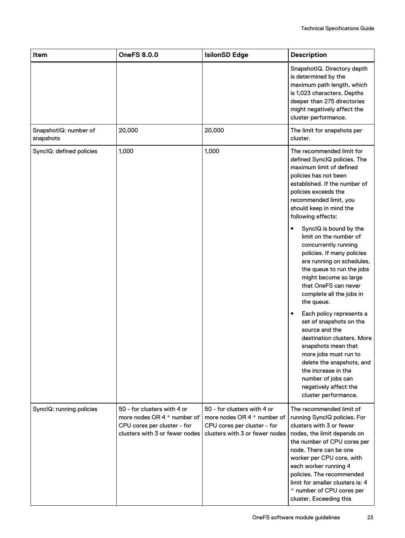| Item                               | <b>OneFS 8.0.0</b>                                                                                                          | <b>IsilonSD Edge</b>                                                                                                        | <b>Description</b>                                                                                                                                                                                                                                                                                                                                          |
|------------------------------------|-----------------------------------------------------------------------------------------------------------------------------|-----------------------------------------------------------------------------------------------------------------------------|-------------------------------------------------------------------------------------------------------------------------------------------------------------------------------------------------------------------------------------------------------------------------------------------------------------------------------------------------------------|
|                                    |                                                                                                                             |                                                                                                                             | SnapshotlQ. Directory depth<br>is determined by the<br>maximum path length, which<br>is 1,023 characters. Depths<br>deeper than 275 directories<br>might negatively affect the<br>cluster performance.                                                                                                                                                      |
| SnapshotIQ: number of<br>snapshots | 20,000                                                                                                                      | 20,000                                                                                                                      | The limit for snapshots per<br>cluster.                                                                                                                                                                                                                                                                                                                     |
| SynclQ: defined policies           | 1,000                                                                                                                       | 1,000                                                                                                                       | The recommended limit for<br>defined SynclQ policies. The<br>maximum limit of defined<br>policies has not been<br>established. If the number of<br>policies exceeds the<br>recommended limit, you<br>should keep in mind the<br>following effects:                                                                                                          |
|                                    |                                                                                                                             |                                                                                                                             | SynclQ is bound by the<br>$\bullet$<br>limit on the number of<br>concurrently running<br>policies. If many policies<br>are running on schedules,<br>the queue to run the jobs<br>might become so large<br>that OneFS can never<br>complete all the jobs in<br>the queue.                                                                                    |
|                                    |                                                                                                                             |                                                                                                                             | Each policy represents a<br>$\bullet$<br>set of snapshots on the<br>source and the<br>destination clusters. More<br>snapshots mean that<br>more jobs must run to<br>delete the snapshots, and<br>the increase in the<br>number of jobs can<br>negatively affect the<br>cluster performance.                                                                 |
| SynclQ: running policies           | 50 - for clusters with 4 or<br>more nodes OR 4 * number of<br>CPU cores per cluster - for<br>clusters with 3 or fewer nodes | 50 - for clusters with 4 or<br>more nodes OR 4 * number of<br>CPU cores per cluster - for<br>clusters with 3 or fewer nodes | The recommended limit of<br>running SynclQ policies. For<br>clusters with 3 or fewer<br>nodes, the limit depends on<br>the number of CPU cores per<br>node. There can be one<br>worker per CPU core, with<br>each worker running 4<br>policies. The recommended<br>limit for smaller clusters is: 4<br>* number of CPU cores per<br>cluster. Exceeding this |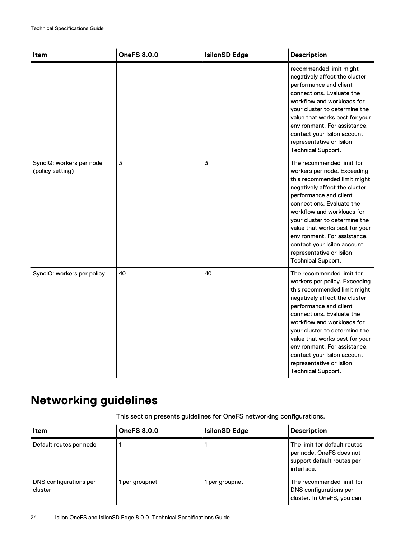<span id="page-23-0"></span>

| Item                                         | <b>OneFS 8.0.0</b> | <b>IsilonSD Edge</b> | <b>Description</b>                                                                                                                                                                                                                                                                                                                                                                                          |
|----------------------------------------------|--------------------|----------------------|-------------------------------------------------------------------------------------------------------------------------------------------------------------------------------------------------------------------------------------------------------------------------------------------------------------------------------------------------------------------------------------------------------------|
|                                              |                    |                      | recommended limit might<br>negatively affect the cluster<br>performance and client<br>connections. Evaluate the<br>workflow and workloads for<br>your cluster to determine the<br>value that works best for your<br>environment. For assistance,<br>contact your Isilon account<br>representative or Isilon<br><b>Technical Support.</b>                                                                    |
| SynclQ: workers per node<br>(policy setting) | 3                  | 3                    | The recommended limit for<br>workers per node. Exceeding<br>this recommended limit might<br>negatively affect the cluster<br>performance and client<br>connections. Evaluate the<br>workflow and workloads for<br>vour cluster to determine the<br>value that works best for your<br>environment. For assistance,<br>contact your Isilon account<br>representative or Isilon<br><b>Technical Support.</b>   |
| SyncIQ: workers per policy                   | 40                 | 40                   | The recommended limit for<br>workers per policy. Exceeding<br>this recommended limit might<br>negatively affect the cluster<br>performance and client<br>connections. Evaluate the<br>workflow and workloads for<br>your cluster to determine the<br>value that works best for your<br>environment. For assistance,<br>contact your Isilon account<br>representative or Isilon<br><b>Technical Support.</b> |

# **Networking guidelines**

This section presents guidelines for OneFS networking configurations.

| ltem                              | <b>OneFS 8.0.0</b> | <b>IsilonSD Edge</b> | <b>Description</b>                                                                                   |
|-----------------------------------|--------------------|----------------------|------------------------------------------------------------------------------------------------------|
| Default routes per node           |                    |                      | The limit for default routes<br>per node. OneFS does not<br>support default routes per<br>interface. |
| DNS configurations per<br>cluster | per groupnet       | per groupnet         | The recommended limit for<br>DNS configurations per<br>cluster. In OneFS, you can                    |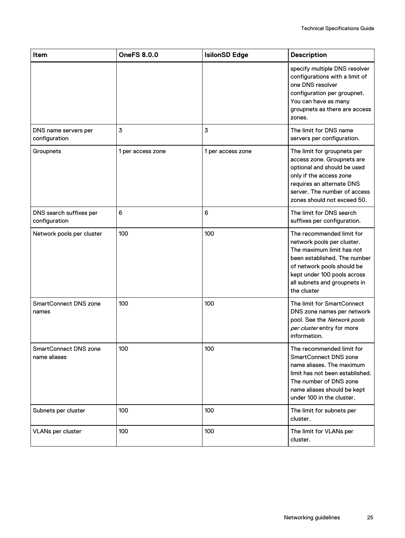| Item                                     | <b>OneFS 8.0.0</b> | <b>IsilonSD Edge</b> | <b>Description</b>                                                                                                                                                                                                               |
|------------------------------------------|--------------------|----------------------|----------------------------------------------------------------------------------------------------------------------------------------------------------------------------------------------------------------------------------|
|                                          |                    |                      | specify multiple DNS resolver<br>configurations with a limit of<br>one DNS resolver<br>configuration per groupnet.<br>You can have as many<br>groupnets as there are access<br>zones.                                            |
| DNS name servers per<br>configuration    | 3                  | 3                    | The limit for DNS name<br>servers per configuration.                                                                                                                                                                             |
| Groupnets                                | 1 per access zone  | 1 per access zone    | The limit for groupnets per<br>access zone. Groupnets are<br>optional and should be used<br>only if the access zone<br>requires an alternate DNS<br>server. The number of access<br>zones should not exceed 50.                  |
| DNS search suffixes per<br>configuration | 6                  | 6                    | The limit for DNS search<br>suffixes per configuration.                                                                                                                                                                          |
| Network pools per cluster                | 100                | 100                  | The recommended limit for<br>network pools per cluster.<br>The maximum limit has not<br>been established. The number<br>of network pools should be<br>kept under 100 pools across<br>all subnets and groupnets in<br>the cluster |
| <b>SmartConnect DNS zone</b><br>names    | 100                | 100                  | The limit for SmartConnect<br>DNS zone names per network<br>pool. See the Network pools<br>per cluster entry for more<br>information.                                                                                            |
| SmartConnect DNS zone<br>name aliases    | 100                | 100                  | The recommended limit for<br><b>SmartConnect DNS zone</b><br>name aliases. The maximum<br>limit has not been established.<br>The number of DNS zone<br>name aliases should be kept<br>under 100 in the cluster.                  |
| Subnets per cluster                      | 100                | 100                  | The limit for subnets per<br>cluster.                                                                                                                                                                                            |
| <b>VLANs per cluster</b>                 | 100                | 100                  | The limit for VLANs per<br>cluster.                                                                                                                                                                                              |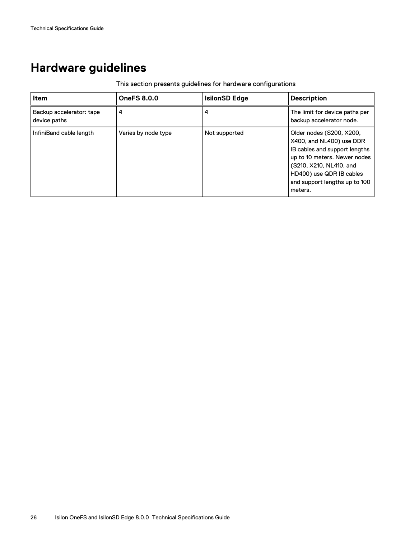## <span id="page-25-0"></span>**Hardware guidelines**

### This section presents guidelines for hardware configurations

| ltem                                     | <b>OneFS 8.0.0</b>  | <b>IsilonSD Edge</b> | <b>Description</b>                                                                                                                                                                                                       |
|------------------------------------------|---------------------|----------------------|--------------------------------------------------------------------------------------------------------------------------------------------------------------------------------------------------------------------------|
| Backup accelerator: tape<br>device paths | 4                   | 4                    | The limit for device paths per<br>backup accelerator node.                                                                                                                                                               |
| InfiniBand cable length                  | Varies by node type | Not supported        | Older nodes (S200, X200,<br>X400, and NL400) use DDR<br>IB cables and support lengths<br>up to 10 meters. Newer nodes<br>(S210, X210, NL410, and<br>HD400) use QDR IB cables<br>and support lengths up to 100<br>meters. |